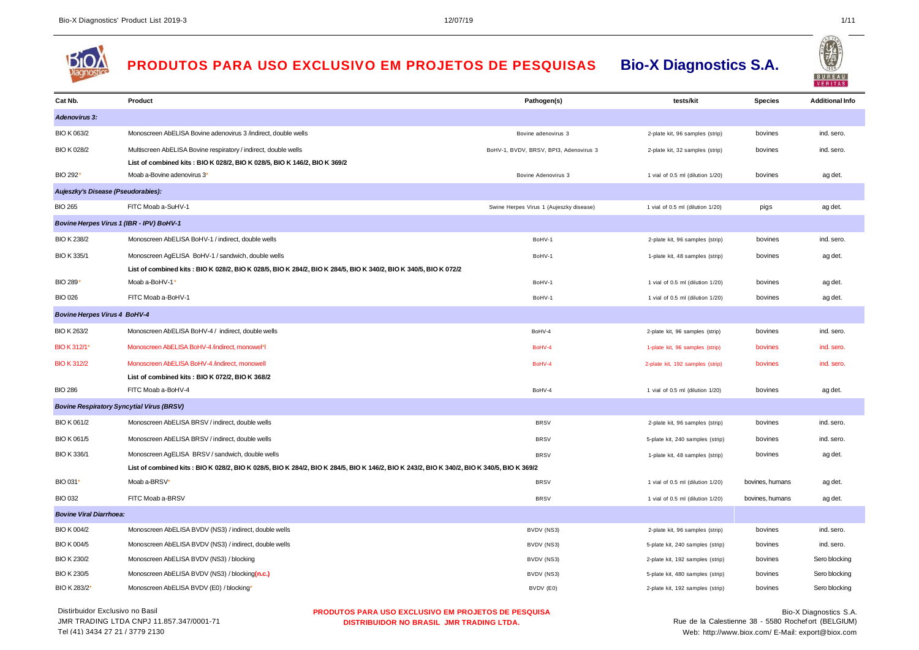

## **PRODUTOS PARA USO EXCLUSIVO EM PROJETOS DE PESQUISAS Bio-X Diagnostics S.A.**

| Cat Nb.                             | Product                                                                                                                                    | Pathogen(s)                             | tests/kit                        | <b>Species</b>  | <b>Additional Info</b> |
|-------------------------------------|--------------------------------------------------------------------------------------------------------------------------------------------|-----------------------------------------|----------------------------------|-----------------|------------------------|
| <b>Adenovirus 3:</b>                |                                                                                                                                            |                                         |                                  |                 |                        |
| BIO K 063/2                         | Monoscreen AbELISA Bovine adenovirus 3 /indirect, double wells                                                                             | Bovine adenovirus 3                     | 2-plate kit, 96 samples (strip)  | bovines         | ind. sero.             |
| BIO K 028/2                         | Multiscreen AbELISA Bovine respiratory / indirect, double wells                                                                            | BoHV-1, BVDV, BRSV, BPI3, Adenovirus 3  | 2-plate kit, 32 samples (strip)  | bovines         | ind. sero.             |
|                                     | List of combined kits: BIO K 028/2, BIO K 028/5, BIO K 146/2, BIO K 369/2                                                                  |                                         |                                  |                 |                        |
| BIO 292*                            | Moab a-Bovine adenovirus 3'                                                                                                                | Bovine Adenovirus 3                     | 1 vial of 0.5 ml (dilution 1/20) | bovines         | ag det.                |
| Aujeszky's Disease (Pseudorabies):  |                                                                                                                                            |                                         |                                  |                 |                        |
| <b>BIO 265</b>                      | FITC Moab a-SuHV-1                                                                                                                         | Swine Herpes Virus 1 (Aujeszky disease) | 1 vial of 0.5 ml (dilution 1/20) | pigs            | ag det.                |
|                                     | Bovine Herpes Virus 1 (IBR - IPV) BoHV-1                                                                                                   |                                         |                                  |                 |                        |
| <b>BIO K 238/2</b>                  | Monoscreen AbELISA BoHV-1 / indirect, double wells                                                                                         | BoHV-1                                  | 2-plate kit, 96 samples (strip)  | bovines         | ind. sero.             |
| BIO K 335/1                         | Monoscreen AgELISA BoHV-1 / sandwich, double wells                                                                                         | BoHV-1                                  | 1-plate kit, 48 samples (strip)  | bovines         | ag det.                |
|                                     | List of combined kits : BIO K 028/2, BIO K 028/5, BIO K 284/2, BIO K 284/5, BIO K 340/2, BIO K 340/5, BIO K 072/2                          |                                         |                                  |                 |                        |
| BIO 289*                            | Moab a-BoHV-1'                                                                                                                             | BoHV-1                                  | 1 vial of 0.5 ml (dilution 1/20) | bovines         | ag det.                |
| <b>BIO 026</b>                      | FITC Moab a-BoHV-1                                                                                                                         | BoHV-1                                  | 1 vial of 0.5 ml (dilution 1/20) | bovines         | ag det.                |
| <b>Bovine Herpes Virus 4 BoHV-4</b> |                                                                                                                                            |                                         |                                  |                 |                        |
| <b>BIO K 263/2</b>                  | Monoscreen AbELISA BoHV-4 / indirect, double wells                                                                                         | BoHV-4                                  | 2-plate kit, 96 samples (strip)  | bovines         | ind. sero.             |
| BIO K 312/1*                        | Monoscreen AbELISA BoHV-4 /indirect, monowel*l                                                                                             | BoHV-4                                  | 1-plate kit, 96 samples (strip)  | bovines         | ind. sero.             |
| <b>BIO K 312/2</b>                  | Monoscreen AbELISA BoHV-4 /indirect, monowell                                                                                              | BoHV-4                                  | 2-plate kit, 192 samples (strip) | bovines         | ind. sero.             |
|                                     | List of combined kits: BIO K 072/2, BIO K 368/2                                                                                            |                                         |                                  |                 |                        |
| <b>BIO 286</b>                      | FITC Moab a-BoHV-4                                                                                                                         | BoHV-4                                  | 1 vial of 0.5 ml (dilution 1/20) | bovines         | ag det.                |
|                                     | <b>Bovine Respiratory Syncytial Virus (BRSV)</b>                                                                                           |                                         |                                  |                 |                        |
| BIO K 061/2                         | Monoscreen AbELISA BRSV / indirect, double wells                                                                                           | <b>BRSV</b>                             | 2-plate kit, 96 samples (strip)  | bovines         | ind. sero.             |
| BIO K 061/5                         | Monoscreen AbELISA BRSV / indirect, double wells                                                                                           | <b>BRSV</b>                             | 5-plate kit, 240 samples (strip) | bovines         | ind. sero.             |
| <b>BIO K336/1</b>                   | Monoscreen AgELISA BRSV / sandwich, double wells                                                                                           | <b>BRSV</b>                             | 1-plate kit, 48 samples (strip)  | bovines         | ag det.                |
|                                     | List of combined kits: BIO K 028/2, BIO K 028/5, BIO K 284/2, BIO K 284/5, BIO K 146/2, BIO K 243/2, BIO K 340/2, BIO K 340/5, BIO K 369/2 |                                         |                                  |                 |                        |
| BIO 031*                            | Moab a-BRSV'                                                                                                                               | <b>BRSV</b>                             | 1 vial of 0.5 ml (dilution 1/20) | bovines, humans | ag det.                |
| <b>BIO 032</b>                      | FITC Moab a-BRSV                                                                                                                           | <b>BRSV</b>                             | 1 vial of 0.5 ml (dilution 1/20) | bovines, humans | ag det.                |
| <b>Bovine Viral Diarrhoea:</b>      |                                                                                                                                            |                                         |                                  |                 |                        |
| BIO K 004/2                         | Monoscreen AbELISA BVDV (NS3) / indirect, double wells                                                                                     | BVDV (NS3)                              | 2-plate kit, 96 samples (strip)  | bovines         | ind. sero.             |
| <b>BIO K 004/5</b>                  | Monoscreen AbELISA BVDV (NS3) / indirect, double wells                                                                                     | BVDV (NS3)                              | 5-plate kit, 240 samples (strip) | bovines         | ind. sero.             |
| <b>BIO K 230/2</b>                  | Monoscreen AbELISA BVDV (NS3) / blocking                                                                                                   | BVDV (NS3)                              | 2-plate kit, 192 samples (strip) | bovines         | Sero blocking          |
| <b>BIO K 230/5</b>                  | Monoscreen AbELISA BVDV (NS3) / blocking(n.c.)                                                                                             | BVDV (NS3)                              | 5-plate kit, 480 samples (strip) | bovines         | Sero blocking          |
| BIO K 283/2*                        | Monoscreen AbELISA BVDV (E0) / blocking'                                                                                                   | BVDV (E0)                               | 2-plate kit, 192 samples (strip) | bovines         | Sero blocking          |
| Distirbuidor Exclusivo no Basil     | <b>PRODUTOS PARA USO EXCLUSIVO EM PROJETOS DE PESQUISA</b>                                                                                 |                                         | $\cdots$                         |                 | Bio-X Diagnostics S.A. |

**PRODUTOS PARA USO EXCLUSIVO EM PROJETOS DE PESQUISA DISTRIBUIDOR NO BRASIL JMR TRADING LTDA.**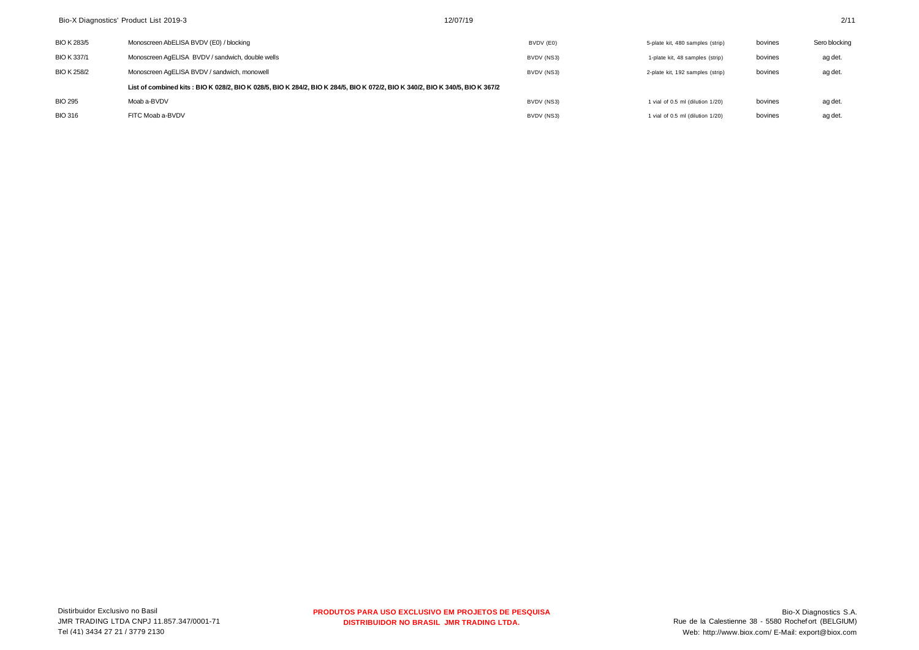| Bio-X Diagnostics' Product List 2019-3 |                                                                                                                               | 12/07/19   |                                  |         | 2/11          |
|----------------------------------------|-------------------------------------------------------------------------------------------------------------------------------|------------|----------------------------------|---------|---------------|
| <b>BIO K 283/5</b>                     | Monoscreen AbELISA BVDV (E0) / blocking                                                                                       | BVDV (E0)  | 5-plate kit, 480 samples (strip) | bovines | Sero blocking |
| <b>BIO K337/1</b>                      | Monoscreen AgELISA BVDV / sandwich, double wells                                                                              | BVDV (NS3) | 1-plate kit, 48 samples (strip)  | bovines | ag det.       |
| <b>BIO K 258/2</b>                     | Monoscreen AgELISA BVDV / sandwich, monowell                                                                                  | BVDV (NS3) | 2-plate kit, 192 samples (strip) | bovines | ag det.       |
|                                        | List of combined kits: BIO K 028/2, BIO K 028/5, BIO K 284/2, BIO K 284/5, BIO K 072/2, BIO K 340/2, BIO K 340/5, BIO K 367/2 |            |                                  |         |               |
| <b>BIO 295</b>                         | Moab a-BVDV                                                                                                                   | BVDV (NS3) | 1 vial of 0.5 ml (dilution 1/20) | bovines | ag det.       |
| <b>BIO 316</b>                         | FITC Moab a-BVDV                                                                                                              | BVDV (NS3) | 1 vial of 0.5 ml (dilution 1/20) | bovines | ag det.       |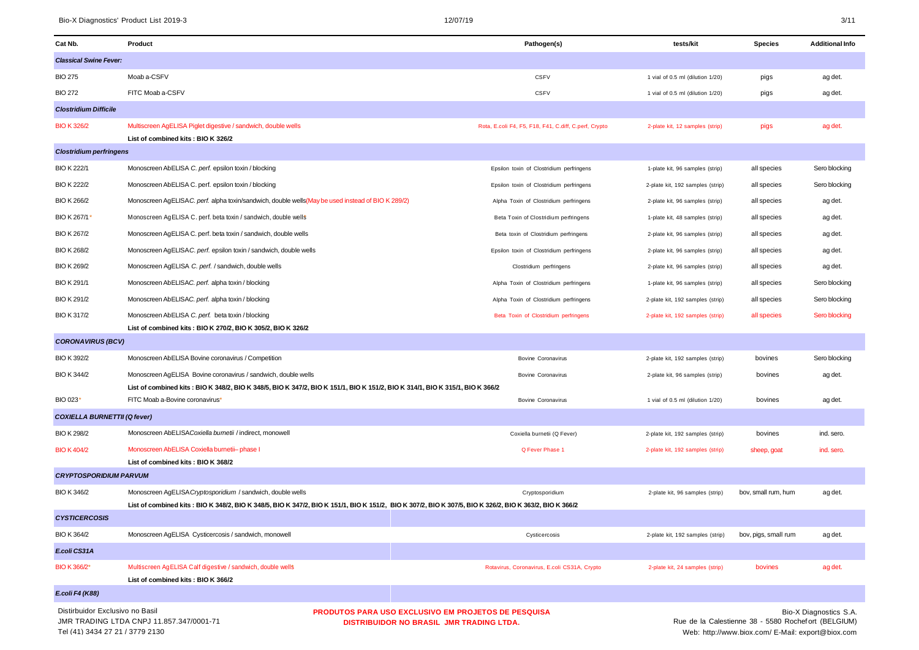Tel (41) 3434 27 21 / 3779 2130

Web: <http://www.biox.com/>E-Mail: [export@biox.com](mailto:export@biox.com)

| Cat Nb.                             | Product                                                                                                                                                  |                                                                                                 | Pathogen(s)                                           | tests/kit                        | <b>Species</b>                                      | <b>Additional Info</b> |
|-------------------------------------|----------------------------------------------------------------------------------------------------------------------------------------------------------|-------------------------------------------------------------------------------------------------|-------------------------------------------------------|----------------------------------|-----------------------------------------------------|------------------------|
| <b>Classical Swine Fever:</b>       |                                                                                                                                                          |                                                                                                 |                                                       |                                  |                                                     |                        |
| <b>BIO 275</b>                      | Moab a-CSFV                                                                                                                                              |                                                                                                 | <b>CSFV</b>                                           | 1 vial of 0.5 ml (dilution 1/20) | pigs                                                | ag det.                |
| <b>BIO 272</b>                      | FITC Moab a-CSFV                                                                                                                                         |                                                                                                 | <b>CSFV</b>                                           | 1 vial of 0.5 ml (dilution 1/20) | pigs                                                | ag det.                |
| <b>Clostridium Difficile</b>        |                                                                                                                                                          |                                                                                                 |                                                       |                                  |                                                     |                        |
| <b>BIO K 326/2</b>                  | Multiscreen AgELISA Piglet digestive / sandwich, double wells                                                                                            |                                                                                                 | Rota, E.coli F4, F5, F18, F41, C.diff, C.perf, Crypto | 2-plate kit, 12 samples (strip)  | pigs                                                | ag det.                |
|                                     | List of combined kits: BIO K 326/2                                                                                                                       |                                                                                                 |                                                       |                                  |                                                     |                        |
| <b>Clostridium perfringens</b>      |                                                                                                                                                          |                                                                                                 |                                                       |                                  |                                                     |                        |
| <b>BIO K 222/1</b>                  | Monoscreen AbELISA C. perf. epsilon toxin / blocking                                                                                                     |                                                                                                 | Epsilon toxin of Clostridium perfringens              | 1-plate kit, 96 samples (strip)  | all species                                         | Sero blocking          |
| <b>BIO K 222/2</b>                  | Monoscreen AbELISA C. perf. epsilon toxin / blocking                                                                                                     |                                                                                                 | Epsilon toxin of Clostridium perfringens              | 2-plate kit, 192 samples (strip) | all species                                         | Sero blocking          |
| <b>BIO K 266/2</b>                  | Monoscreen AgELISA C. perf. alpha toxin/sandwich, double wells (May be used instead of BIO K 289/2)                                                      |                                                                                                 | Alpha Toxin of Clostridium perfringens                | 2-plate kit, 96 samples (strip)  | all species                                         | ag det.                |
| BIO K 267/1*                        | Monoscreen AgELISA C. perf. beta toxin / sandwich, double wells                                                                                          |                                                                                                 | Beta Toxin of Clostridium perfringens                 | 1-plate kit, 48 samples (strip)  | all species                                         | ag det.                |
| <b>BIO K 267/2</b>                  | Monoscreen AgELISA C. perf. beta toxin / sandwich, double wells                                                                                          |                                                                                                 | Beta toxin of Clostridium perfringens                 | 2-plate kit, 96 samples (strip)  | all species                                         | ag det.                |
| <b>BIO K 268/2</b>                  | Monoscreen AqELISA C. perf. epsilon toxin / sandwich, double wells                                                                                       |                                                                                                 | Epsilon toxin of Clostridium perfringens              | 2-plate kit, 96 samples (strip)  | all species                                         | ag det.                |
| <b>BIO K 269/2</b>                  | Monoscreen AgELISA C. perf. / sandwich, double wells                                                                                                     |                                                                                                 | Clostridium perfringens                               | 2-plate kit, 96 samples (strip)  | all species                                         | ag det.                |
| <b>BIO K 291/1</b>                  | Monoscreen AbELISAC. perf. alpha toxin / blocking                                                                                                        |                                                                                                 | Alpha Toxin of Clostridium perfringens                | 1-plate kit, 96 samples (strip)  | all species                                         | Sero blocking          |
| <b>BIO K 291/2</b>                  | Monoscreen AbELISAC. perf. alpha toxin / blocking                                                                                                        |                                                                                                 | Alpha Toxin of Clostridium perfringens                | 2-plate kit, 192 samples (strip) | all species                                         | Sero blocking          |
| <b>BIO K 317/2</b>                  | Monoscreen AbELISA C. perf. beta toxin / blocking                                                                                                        |                                                                                                 | Beta Toxin of Clostridium perfringens                 | 2-plate kit, 192 samples (strip) | all species                                         | Sero blocking          |
|                                     | List of combined kits: BIO K 270/2, BIO K 305/2, BIO K 326/2                                                                                             |                                                                                                 |                                                       |                                  |                                                     |                        |
| <b>CORONAVIRUS (BCV)</b>            |                                                                                                                                                          |                                                                                                 |                                                       |                                  |                                                     |                        |
| BIO K 392/2                         | Monoscreen AbELISA Bovine coronavirus / Competition                                                                                                      |                                                                                                 | <b>Bovine Coronavirus</b>                             | 2-plate kit, 192 samples (strip) | bovines                                             | Sero blocking          |
| <b>BIO K 344/2</b>                  | Monoscreen AgELISA Bovine coronavirus / sandwich, double wells                                                                                           |                                                                                                 | <b>Bovine Coronavirus</b>                             | 2-plate kit, 96 samples (strip)  | bovines                                             | ag det.                |
|                                     | List of combined kits: BIO K 348/2, BIO K 348/5, BIO K 347/2, BIO K 151/1, BIO K 151/2, BIO K 314/1, BIO K 315/1, BIO K 366/2                            |                                                                                                 |                                                       |                                  |                                                     |                        |
| BIO 023*                            | FITC Moab a-Bovine coronavirus*                                                                                                                          |                                                                                                 | <b>Bovine Coronavirus</b>                             | 1 vial of 0.5 ml (dilution 1/20) | bovines                                             | ag det.                |
| <b>COXIELLA BURNETTII (Q fever)</b> |                                                                                                                                                          |                                                                                                 |                                                       |                                  |                                                     |                        |
| <b>BIO K 298/2</b>                  | Monoscreen AbELISA Coxiella burnetii / indirect, monowell                                                                                                |                                                                                                 | Coxiella burnetii (Q Fever)                           | 2-plate kit, 192 samples (strip) | bovines                                             | ind. sero.             |
| <b>BIO K 404/2</b>                  | Monoscreen AbELISA Coxiella burnetii- phase I                                                                                                            |                                                                                                 | Q Fever Phase 1                                       | 2-plate kit, 192 samples (strip) | sheep, goat                                         | ind. sero.             |
|                                     | List of combined kits: BIO K 368/2                                                                                                                       |                                                                                                 |                                                       |                                  |                                                     |                        |
| <b>CRYPTOSPORIDIUM PARVUM</b>       |                                                                                                                                                          |                                                                                                 |                                                       |                                  |                                                     |                        |
| <b>BIO K 346/2</b>                  | Monoscreen AgELISA Cryptosporidium / sandwich, double wells                                                                                              |                                                                                                 | Cryptosporidium                                       | 2-plate kit, 96 samples (strip)  | bov, small rum, hum                                 | ag det.                |
|                                     | List of combined kits : BIO K 348/2, BIO K 348/5, BIO K 347/2, BIO K 151/1, BIO K 151/2, BIO K 307/2, BIO K 307/5, BIO K 326/2, BIO K 363/2, BIO K 366/2 |                                                                                                 |                                                       |                                  |                                                     |                        |
| <b>CYSTICERCOSIS</b>                |                                                                                                                                                          |                                                                                                 |                                                       |                                  |                                                     |                        |
| <b>BIO K 364/2</b>                  | Monoscreen AgELISA Cysticercosis / sandwich, monowell                                                                                                    |                                                                                                 | Cysticercosis                                         | 2-plate kit, 192 samples (strip) | bov, pigs, small rum                                | ag det.                |
| E.coli CS31A                        |                                                                                                                                                          |                                                                                                 |                                                       |                                  |                                                     |                        |
| BIO K 366/2*                        | Multiscreen Ag ELISA Calf digestive / sandwich, double wells                                                                                             |                                                                                                 | Rotavirus, Coronavirus, E.coli CS31A, Crypto          | 2-plate kit, 24 samples (strip)  | bovines                                             | ag det.                |
|                                     | List of combined kits: BIO K 366/2                                                                                                                       |                                                                                                 |                                                       |                                  |                                                     |                        |
| E.coli F4 (K88)                     |                                                                                                                                                          |                                                                                                 |                                                       |                                  |                                                     |                        |
| Distirbuidor Exclusivo no Basil     | JMR TRADING LTDA CNPJ 11.857.347/0001-71                                                                                                                 | PRODUTOS PARA USO EXCLUSIVO EM PROJETOS DE PESQUISA<br>DISTRIBUIDOR NO BRASIL JMR TRADING LTDA. |                                                       |                                  | Rue de la Calestienne 38 - 5580 Rochefort (BELGIUM) | Bio-X Diagnostics S.A. |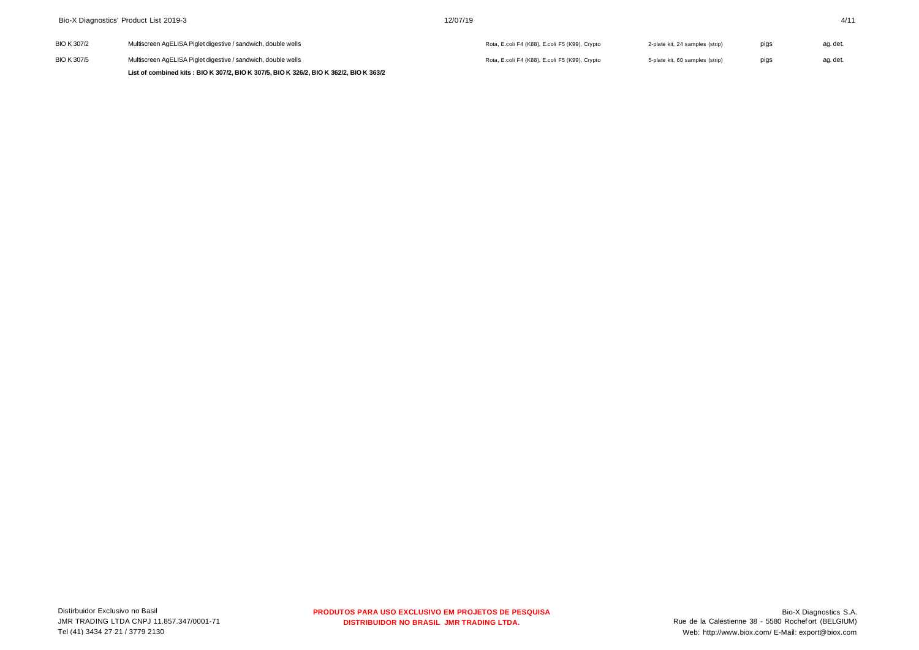| Bio-X Diagnostics' Product List 2019-3 |                                                                                        | 12/07/19                                       |                                 |      |          |
|----------------------------------------|----------------------------------------------------------------------------------------|------------------------------------------------|---------------------------------|------|----------|
| BIO K 307/2                            | Multiscreen AgELISA Piglet digestive / sandwich, double wells                          | Rota, E.coli F4 (K88), E.coli F5 (K99), Crypto | 2-plate kit, 24 samples (strip) | pigs | ag. det. |
| <b>BIO K307/5</b>                      | Multiscreen AgELISA Piglet digestive / sandwich, double wells                          | Rota, E.coli F4 (K88), E.coli F5 (K99), Crypto | 5-plate kit, 60 samples (strip) | pigs | ag. det. |
|                                        | List of combined kits: BIO K 307/2, BIO K 307/5, BIO K 326/2, BIO K 362/2, BIO K 363/2 |                                                |                                 |      |          |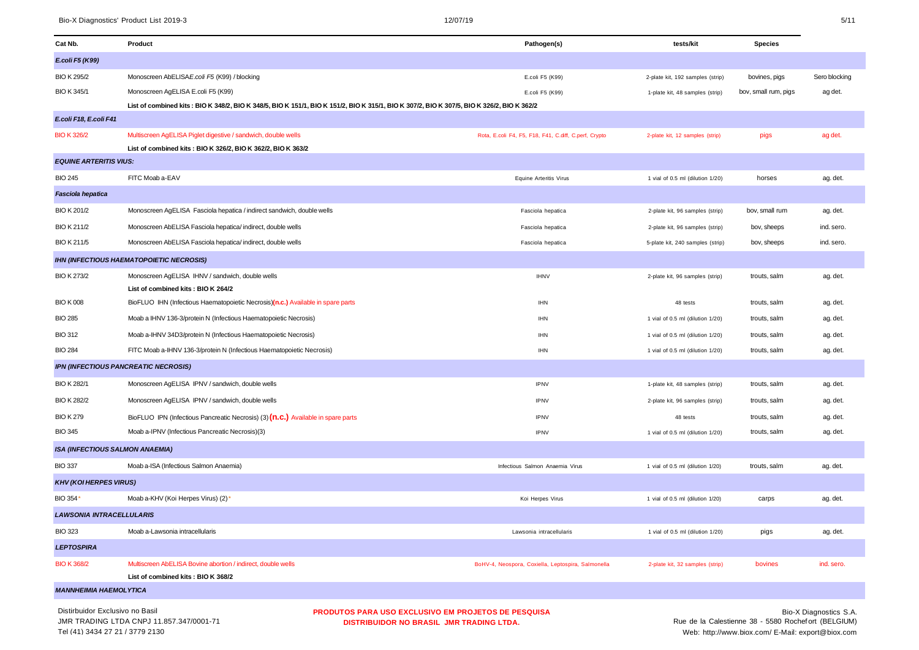| Cat Nb.                                | Product                                                                                                                                    | Pathogen(s)                                           | tests/kit                        | <b>Species</b>       |               |
|----------------------------------------|--------------------------------------------------------------------------------------------------------------------------------------------|-------------------------------------------------------|----------------------------------|----------------------|---------------|
| E.coli F5 (K99)                        |                                                                                                                                            |                                                       |                                  |                      |               |
| <b>BIO K 295/2</b>                     | Monoscreen AbELISAE.coli F5 (K99) / blocking                                                                                               | E.coli F5 (K99)                                       | 2-plate kit, 192 samples (strip) | bovines, pigs        | Sero blocking |
| <b>BIO K 345/1</b>                     | Monoscreen AgELISA E.coli F5 (K99)                                                                                                         | E.coli F5 (K99)                                       | 1-plate kit, 48 samples (strip)  | bov, small rum, pigs | ag det.       |
|                                        | List of combined kits: BIO K 348/2, BIO K 348/5, BIO K 151/1, BIO K 151/2, BIO K 315/1, BIO K 307/2, BIO K 307/5, BIO K 326/2, BIO K 362/2 |                                                       |                                  |                      |               |
| E.coli F18, E.coli F41                 |                                                                                                                                            |                                                       |                                  |                      |               |
| <b>BIO K 326/2</b>                     | Multiscreen AgELISA Piglet digestive / sandwich, double wells                                                                              | Rota, E.coli F4, F5, F18, F41, C.diff, C.perf, Crypto | 2-plate kit, 12 samples (strip)  | pigs                 | ag det.       |
|                                        | List of combined kits : BIO K 326/2, BIO K 362/2, BIO K 363/2                                                                              |                                                       |                                  |                      |               |
| <b>EQUINE ARTERITIS VIUS:</b>          |                                                                                                                                            |                                                       |                                  |                      |               |
| <b>BIO 245</b>                         | FITC Moab a-EAV                                                                                                                            | <b>Equine Arteritis Virus</b>                         | 1 vial of 0.5 ml (dilution 1/20) | horses               | ag. det.      |
| Fasciola hepatica                      |                                                                                                                                            |                                                       |                                  |                      |               |
| BIO K 201/2                            | Monoscreen AgELISA Fasciola hepatica / indirect sandwich, double wells                                                                     | Fasciola hepatica                                     | 2-plate kit, 96 samples (strip)  | bov, small rum       | ag. det.      |
| <b>BIO K211/2</b>                      | Monoscreen AbELISA Fasciola hepatica/indirect, double wells                                                                                | Fasciola hepatica                                     | 2-plate kit, 96 samples (strip)  | bov, sheeps          | ind. sero.    |
| <b>BIO K211/5</b>                      | Monoscreen AbELISA Fasciola hepatica/indirect, double wells                                                                                | Fasciola hepatica                                     | 5-plate kit, 240 samples (strip) | bov, sheeps          | ind. sero.    |
|                                        | <b>IHN (INFECTIOUS HAEMATOPOIETIC NECROSIS)</b>                                                                                            |                                                       |                                  |                      |               |
| <b>BIO K 273/2</b>                     | Monoscreen AgELISA IHNV / sandwich, double wells                                                                                           | <b>IHNV</b>                                           | 2-plate kit, 96 samples (strip)  | trouts, salm         | ag. det.      |
|                                        | List of combined kits: BIO K 264/2                                                                                                         |                                                       |                                  |                      |               |
| <b>BIO K008</b>                        | BioFLUO IHN (Infectious Haematopoietic Necrosis)(n.c.) Available in spare parts                                                            | <b>IHN</b>                                            | 48 tests                         | trouts, salm         | ag. det.      |
| <b>BIO 285</b>                         | Moab a IHNV 136-3/protein N (Infectious Haematopoietic Necrosis)                                                                           | <b>IHN</b>                                            | 1 vial of 0.5 ml (dilution 1/20) | trouts, salm         | ag. det.      |
| <b>BIO 312</b>                         | Moab a-IHNV 34D3/protein N (Infectious Haematopoietic Necrosis)                                                                            | <b>IHN</b>                                            | 1 vial of 0.5 ml (dilution 1/20) | trouts, salm         | ag. det.      |
| <b>BIO 284</b>                         | FITC Moab a-IHNV 136-3/protein N (Infectious Haematopoietic Necrosis)                                                                      | <b>IHN</b>                                            | 1 vial of 0.5 ml (dilution 1/20) | trouts, salm         | ag. det.      |
|                                        | IPN (INFECTIOUS PANCREATIC NECROSIS)                                                                                                       |                                                       |                                  |                      |               |
| <b>BIO K 282/1</b>                     | Monoscreen AgELISA IPNV / sandwich, double wells                                                                                           | <b>IPNV</b>                                           | 1-plate kit, 48 samples (strip)  | trouts, salm         | ag. det.      |
| <b>BIO K 282/2</b>                     | Monoscreen AgELISA IPNV / sandwich, double wells                                                                                           | <b>IPNV</b>                                           | 2-plate kit, 96 samples (strip)  | trouts, salm         | ag. det.      |
| <b>BIO K 279</b>                       | BioFLUO IPN (Infectious Pancreatic Necrosis) (3) (n.c.) Available in spare parts                                                           | <b>IPNV</b>                                           | 48 tests                         | trouts, salm         | ag. det.      |
| <b>BIO 345</b>                         | Moab a-IPNV (Infectious Pancreatic Necrosis)(3)                                                                                            | <b>IPNV</b>                                           | 1 vial of 0.5 ml (dilution 1/20) | trouts, salm         | ag. det.      |
| <b>ISA (INFECTIOUS SALMON ANAEMIA)</b> |                                                                                                                                            |                                                       |                                  |                      |               |
| <b>BIO 337</b>                         | Moab a-ISA (Infectious Salmon Anaemia)                                                                                                     | Infectious Salmon Anaemia Virus                       | 1 vial of 0.5 ml (dilution 1/20) | trouts, salm         | ag. det.      |
| <b>KHV (KOI HERPES VIRUS)</b>          |                                                                                                                                            |                                                       |                                  |                      |               |
| BIO 354*                               | Moab a-KHV (Koi Herpes Virus) (2)*                                                                                                         | Koi Herpes Virus                                      | 1 vial of 0.5 ml (dilution 1/20) | carps                | ag. det.      |
| <b>LAWSONIA INTRACELLULARIS</b>        |                                                                                                                                            |                                                       |                                  |                      |               |
| <b>BIO 323</b>                         | Moab a-Lawsonia intracellularis                                                                                                            | Lawsonia intracellularis                              | 1 vial of 0.5 ml (dilution 1/20) | pigs                 | ag. det.      |
| <b>LEPTOSPIRA</b>                      |                                                                                                                                            |                                                       |                                  |                      |               |
| <b>BIO K 368/2</b>                     | Multiscreen AbELISA Bovine abortion / indirect, double wells                                                                               | BoHV-4, Neospora, Coxiella, Leptospira, Salmonella    | 2-plate kit, 32 samples (strip)  | bovines              | ind. sero.    |
|                                        | List of combined kits: BIO K 368/2                                                                                                         |                                                       |                                  |                      |               |
| <b>MANNHEIMIA HAEMOLYTICA</b>          |                                                                                                                                            |                                                       |                                  |                      |               |

MANNHEIMIA HAEMOLYTICA<br>Distirbuidor Exclusivo no Basil<br>JUA TRABULO LTDA QUBLI 11.055 QUISOS LT. JMR TRADING LTDA CNPJ 11.857.347/0001-71 Tel (41) 3434 27 21 / 3779 2130

**PRODUTOS PARA USO EXCLUSIVO EM PROJETOS DE PESQUISA DISTRIBUIDOR NO BRASIL JMR TRADING LTDA.**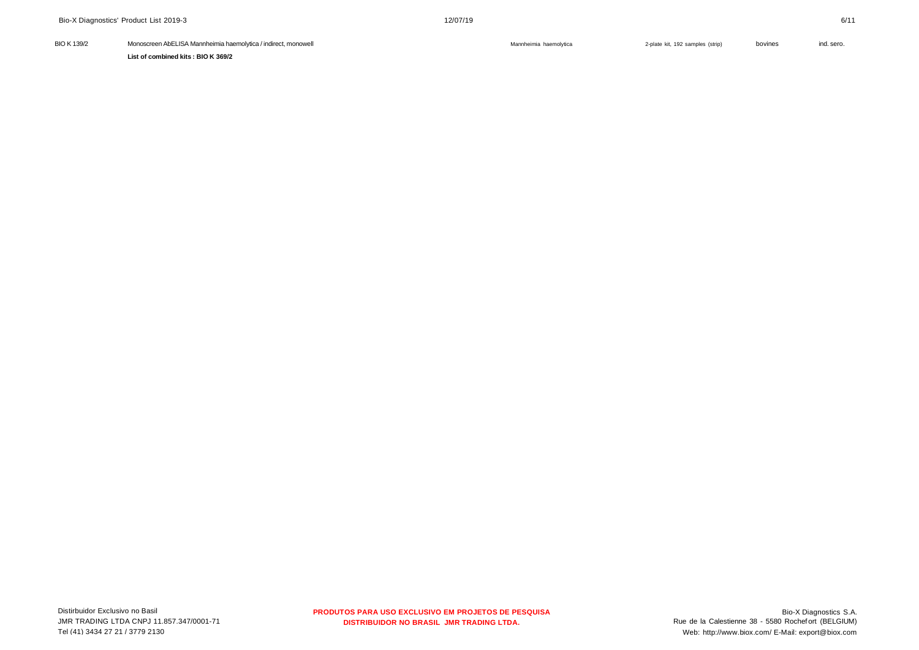**PRODUTOS PARA USO EXCLUSIVO EM PROJETOS DE PESQUISA DISTRIBUIDOR NO BRASIL JMR TRADING LTDA.**

| Distirbuidor Exclusivo no Basil          |
|------------------------------------------|
| JMR TRADING LTDA CNPJ 11.857.347/0001-71 |
| Tel (41) 3434 27 21 / 3779 2130          |

| <b>BIO K 139/2</b> | Monoscreen AbELISA Mannheimia haemolytica / indirect, monowell | Mannheimia haemolytica | 2-plate kit, 192 samples (strip) | bovines | ind. sero. |
|--------------------|----------------------------------------------------------------|------------------------|----------------------------------|---------|------------|
|                    | List of combined kits: BIO K 369/2                             |                        |                                  |         |            |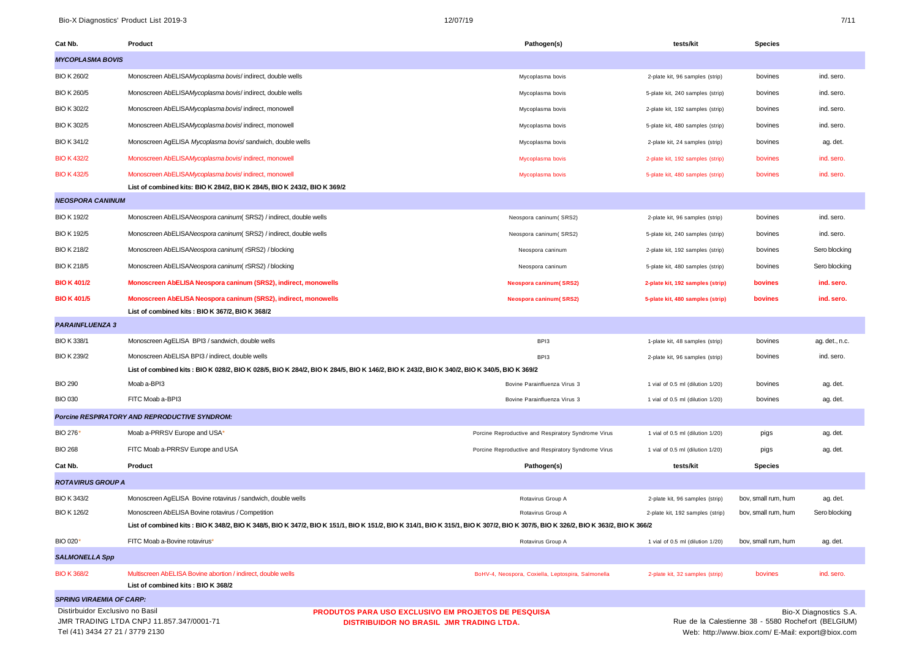| Cat Nb.                                          | Product                                                                                                                                                                           | Pathogen(s)                                         | tests/kit                        | <b>Species</b>      |                        |
|--------------------------------------------------|-----------------------------------------------------------------------------------------------------------------------------------------------------------------------------------|-----------------------------------------------------|----------------------------------|---------------------|------------------------|
| <b>MYCOPLASMA BOVIS</b>                          |                                                                                                                                                                                   |                                                     |                                  |                     |                        |
| <b>BIO K 260/2</b>                               | Monoscreen AbELISAMycoplasma bovis/ indirect, double wells                                                                                                                        | Mycoplasma bovis                                    | 2-plate kit, 96 samples (strip)  | bovines             | ind. sero.             |
| <b>BIO K 260/5</b>                               | Monoscreen AbELISAMycoplasma bovis/ indirect, double wells                                                                                                                        | Mycoplasma bovis                                    | 5-plate kit, 240 samples (strip) | bovines             | ind. sero.             |
| BIO K 302/2                                      | Monoscreen AbELISAMycoplasma bovis/ indirect, monowell                                                                                                                            | Mycoplasma bovis                                    | 2-plate kit, 192 samples (strip) | bovines             | ind. sero.             |
| <b>BIO K 302/5</b>                               | Monoscreen AbELISAMycoplasma bovis/ indirect, monowell                                                                                                                            | Mycoplasma bovis                                    | 5-plate kit, 480 samples (strip) | bovines             | ind. sero.             |
| BIO K 341/2                                      | Monoscreen AgELISA Mycoplasma bovis/ sandwich, double wells                                                                                                                       | Mycoplasma bovis                                    | 2-plate kit, 24 samples (strip)  | bovines             | ag. det.               |
| <b>BIO K 432/2</b>                               | Monoscreen AbELISAMycoplasma bovis/ indirect, monowell                                                                                                                            | Mycoplasma bovis                                    | 2-plate kit, 192 samples (strip) | bovines             | ind. sero.             |
| <b>BIO K 432/5</b>                               | Monoscreen AbELISAMycoplasma bovis/ indirect, monowell                                                                                                                            | Mycoplasma bovis                                    | 5-plate kit, 480 samples (strip) | bovines             | ind. sero.             |
|                                                  | List of combined kits: BIO K 284/2, BIO K 284/5, BIO K 243/2, BIO K 369/2                                                                                                         |                                                     |                                  |                     |                        |
| <b>NEOSPORA CANINUM</b>                          |                                                                                                                                                                                   |                                                     |                                  |                     |                        |
| <b>BIO K 192/2</b>                               | Monoscreen AbELISANeospora caninum (SRS2) / indirect, double wells                                                                                                                | Neospora caninum(SRS2)                              | 2-plate kit, 96 samples (strip)  | bovines             | ind. sero.             |
| <b>BIO K 192/5</b>                               | Monoscreen AbELISANeospora caninum (SRS2) / indirect, double wells                                                                                                                | Neospora caninum(SRS2)                              | 5-plate kit, 240 samples (strip) | bovines             | ind. sero.             |
| <b>BIO K 218/2</b>                               | Monoscreen AbELISANeospora caninum (rSRS2) / blocking                                                                                                                             | Neospora caninum                                    | 2-plate kit, 192 samples (strip) | bovines             | Sero blocking          |
| <b>BIO K 218/5</b>                               | Monoscreen AbELISANeospora caninum (rSRS2) / blocking                                                                                                                             | Neospora caninum                                    | 5-plate kit, 480 samples (strip) | bovines             | Sero blocking          |
| <b>BIO K 401/2</b>                               | Monoscreen AbELISA Neospora caninum (SRS2), indirect, monowells                                                                                                                   | <b>Neospora caninum(SRS2)</b>                       | 2-plate kit, 192 samples (strip) | bovines             | ind. sero.             |
| <b>BIO K 401/5</b>                               | Monoscreen AbELISA Neospora caninum (SRS2), indirect, monowells                                                                                                                   | <b>Neospora caninum(SRS2)</b>                       | 5-plate kit, 480 samples (strip) | bovines             | ind. sero.             |
|                                                  | List of combined kits: BIO K 367/2, BIO K 368/2                                                                                                                                   |                                                     |                                  |                     |                        |
| <b>PARAINFLUENZA 3</b>                           |                                                                                                                                                                                   |                                                     |                                  |                     |                        |
| <b>BIO K 338/1</b>                               | Monoscreen AgELISA BPI3 / sandwich, double wells                                                                                                                                  | BPI3                                                | 1-plate kit, 48 samples (strip)  | bovines             | ag. det., n.c.         |
| <b>BIO K 239/2</b>                               | Monoscreen AbELISA BPI3 / indirect, double wells                                                                                                                                  | BPI3                                                | 2-plate kit, 96 samples (strip)  | bovines             | ind. sero.             |
|                                                  | List of combined kits: BIO K 028/2, BIO K 028/5, BIO K 284/2, BIO K 284/5, BIO K 146/2, BIO K 243/2, BIO K 340/2, BIO K 340/5, BIO K 369/2                                        |                                                     |                                  |                     |                        |
| <b>BIO 290</b>                                   | Moab a-BPI3                                                                                                                                                                       | Bovine Parainfluenza Virus 3                        | 1 vial of 0.5 ml (dilution 1/20) | bovines             | ag. det.               |
| <b>BIO 030</b>                                   | FITC Moab a-BPI3                                                                                                                                                                  | Bovine Parainfluenza Virus 3                        | 1 vial of 0.5 ml (dilution 1/20) | bovines             | ag. det.               |
|                                                  | Porcine RESPIRATORY AND REPRODUCTIVE SYNDROM:                                                                                                                                     |                                                     |                                  |                     |                        |
| BIO 276*                                         | Moab a-PRRSV Europe and USA*                                                                                                                                                      | Porcine Reproductive and Respiratory Syndrome Virus | 1 vial of 0.5 ml (dilution 1/20) | pigs                | ag. det.               |
| <b>BIO 268</b>                                   | FITC Moab a-PRRSV Europe and USA                                                                                                                                                  | Porcine Reproductive and Respiratory Syndrome Virus | 1 vial of 0.5 ml (dilution 1/20) | pigs                | ag. det.               |
| Cat Nb.                                          | Product                                                                                                                                                                           | Pathogen(s)                                         | tests/kit                        | <b>Species</b>      |                        |
| <b>ROTAVIRUS GROUP A</b>                         |                                                                                                                                                                                   |                                                     |                                  |                     |                        |
| BIO K 343/2                                      | Monoscreen AgELISA Bovine rotavirus / sandwich, double wells                                                                                                                      | Rotavirus Group A                                   | 2-plate kit, 96 samples (strip)  | bov, small rum, hum | ag. det.               |
| <b>BIO K 126/2</b>                               | Monoscreen AbELISA Bovine rotavirus / Competition                                                                                                                                 | Rotavirus Group A                                   | 2-plate kit, 192 samples (strip) | bov, small rum, hum | Sero blocking          |
|                                                  | List of combined kits: BIO K 348/2, BIO K 348/5, BIO K 347/2, BIO K 151/1, BIO K 151/2, BIO K 314/1, BIO K 315/1, BIO K 307/2, BIO K 307/5, BIO K 326/2, BIO K 363/2, BIO K 366/2 |                                                     |                                  |                     |                        |
| BIO 020*                                         | FITC Moab a-Bovine rotavirus*                                                                                                                                                     | Rotavirus Group A                                   | 1 vial of 0.5 ml (dilution 1/20) | bov, small rum, hum | ag. det.               |
| <b>SALMONELLA Spp</b>                            |                                                                                                                                                                                   |                                                     |                                  |                     |                        |
| <b>BIO K 368/2</b>                               | Multiscreen AbELISA Bovine abortion / indirect, double wells<br>List of combined kits: BIO K 368/2                                                                                | BoHV-4, Neospora, Coxiella, Leptospira, Salmonella  | 2-plate kit, 32 samples (strip)  | bovines             | ind. sero.             |
| <b>SPRING VIRAEMIA OF CARP:</b>                  |                                                                                                                                                                                   |                                                     |                                  |                     |                        |
| Distirbuidor Exclusivo no Basil<br>$\frac{1}{2}$ | <b>PRODUTOS PARA USO EXCLUSIVO EM PROJETOS DE PESQUISA</b><br>0.0570170004                                                                                                        |                                                     |                                  |                     | Bio-X Diagnostics S.A. |

JMR TRADING LTDA CNPJ 11.857.347/0001-71 Tel (41) 3434 27 21 / 3779 2130

**DISTRIBUIDOR NO BRASIL JMR TRADING LTDA.**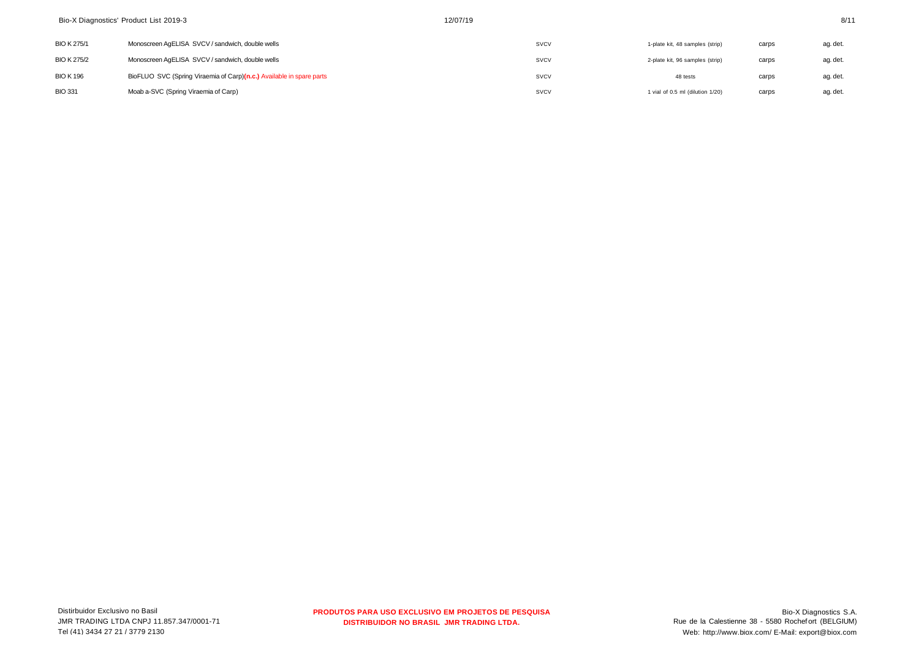| <b>BIO K 275/1</b> | Monoscreen AgELISA SVCV / sandwich, double wells                     | SVCV        | 1-plate kit, 48 samples (strip)  | carps | ag. det. |
|--------------------|----------------------------------------------------------------------|-------------|----------------------------------|-------|----------|
| <b>BIO K 275/2</b> | Monoscreen AgELISA SVCV / sandwich, double wells                     | <b>SVCV</b> | 2-plate kit, 96 samples (strip)  | carps | ag. det. |
| <b>BIO K 196</b>   | BioFLUO SVC (Spring Viraemia of Carp)(n.c.) Available in spare parts | SVCV        | 48 tests                         | carps | ag. det. |
| <b>BIO 331</b>     | Moab a-SVC (Spring Viraemia of Carp)                                 | SVCV        | 1 vial of 0.5 ml (dilution 1/20) | carps | ag. det. |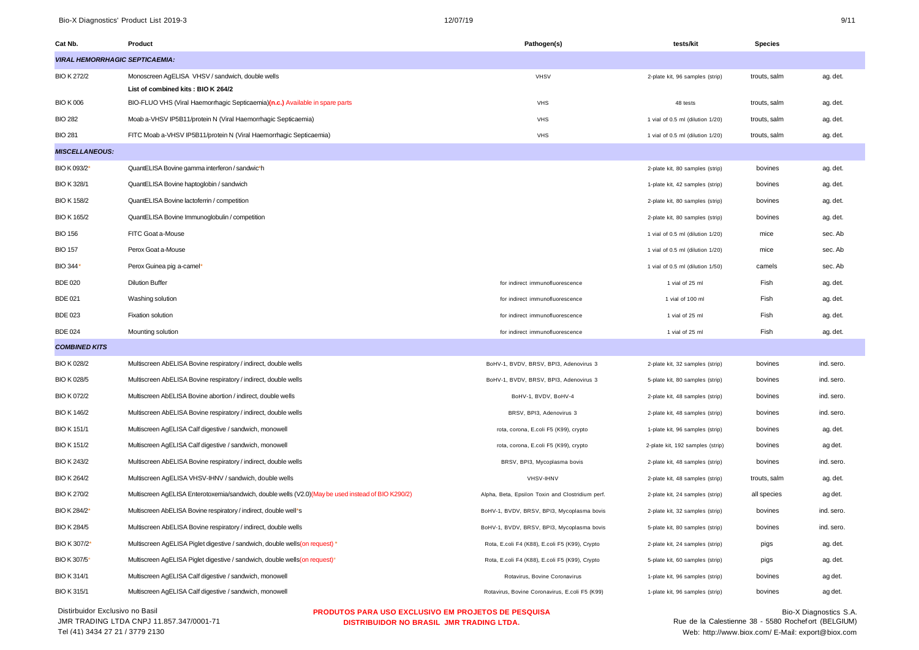Bio-X Diagnostics' Product List 2019-3 9/11 9 and 2017/19 9/11 9/11 9 and 2017/19

| Cat Nb.                                                                                       | Product                                                                                             | Pathogen(s)                                      | tests/kit                        | Species      |                        |
|-----------------------------------------------------------------------------------------------|-----------------------------------------------------------------------------------------------------|--------------------------------------------------|----------------------------------|--------------|------------------------|
|                                                                                               | <b>VIRAL HEMORRHAGIC SEPTICAEMIA:</b>                                                               |                                                  |                                  |              |                        |
| <b>BIO K 272/2</b>                                                                            | Monoscreen AgELISA VHSV / sandwich, double wells                                                    | <b>VHSV</b>                                      | 2-plate kit, 96 samples (strip)  | trouts, salm | ag. det.               |
|                                                                                               | List of combined kits: BIO K 264/2                                                                  |                                                  |                                  |              |                        |
| <b>BIO K006</b>                                                                               | BIO-FLUO VHS (Viral Haemorrhagic Septicaemia)(n.c.) Available in spare parts                        | <b>VHS</b>                                       | 48 tests                         | trouts, salm | ag. det.               |
| <b>BIO 282</b>                                                                                | Moab a-VHSV IP5B11/protein N (Viral Haemorrhagic Septicaemia)                                       | <b>VHS</b>                                       | 1 vial of 0.5 ml (dilution 1/20) | trouts, salm | ag. det.               |
| <b>BIO 281</b>                                                                                | FITC Moab a-VHSV IP5B11/protein N (Viral Haemorrhagic Septicaemia)                                  | <b>VHS</b>                                       | 1 vial of 0.5 ml (dilution 1/20) | trouts, salm | ag. det.               |
| <b>MISCELLANEOUS:</b>                                                                         |                                                                                                     |                                                  |                                  |              |                        |
| BIO K 093/2*                                                                                  | QuantELISA Bovine gamma interferon / sandwic*h                                                      |                                                  | 2-plate kit, 80 samples (strip)  | bovines      | ag. det.               |
| BIO K 328/1                                                                                   | QuantELISA Bovine haptoglobin / sandwich                                                            |                                                  | 1-plate kit, 42 samples (strip)  | bovines      | ag. det.               |
| <b>BIO K 158/2</b>                                                                            | QuantELISA Bovine lactoferrin / competition                                                         |                                                  | 2-plate kit, 80 samples (strip)  | bovines      | ag. det.               |
| <b>BIO K 165/2</b>                                                                            | QuantELISA Bovine Immunoglobulin / competition                                                      |                                                  | 2-plate kit, 80 samples (strip)  | bovines      | ag. det.               |
| <b>BIO 156</b>                                                                                | FITC Goat a-Mouse                                                                                   |                                                  | 1 vial of 0.5 ml (dilution 1/20) | mice         | sec. Ab                |
| <b>BIO 157</b>                                                                                | Perox Goat a-Mouse                                                                                  |                                                  | 1 vial of 0.5 ml (dilution 1/20) | mice         | sec. Ab                |
| BIO 344'                                                                                      | Perox Guinea pig a-camel*                                                                           |                                                  | 1 vial of 0.5 ml (dilution 1/50) | camels       | sec. Ab                |
| <b>BDE 020</b>                                                                                | <b>Dilution Buffer</b>                                                                              | for indirect immunofluorescence                  | 1 vial of 25 ml                  | Fish         | ag. det.               |
| <b>BDE 021</b>                                                                                | Washing solution                                                                                    | for indirect immunofluorescence                  | 1 vial of 100 ml                 | Fish         | ag. det.               |
| <b>BDE 023</b>                                                                                | Fixation solution                                                                                   | for indirect immunofluorescence                  | 1 vial of 25 ml                  | Fish         | ag. det.               |
| <b>BDE 024</b>                                                                                | Mounting solution                                                                                   | for indirect immunofluorescence                  | 1 vial of 25 ml                  | Fish         | ag. det.               |
| <b>COMBINED KITS</b>                                                                          |                                                                                                     |                                                  |                                  |              |                        |
| BIO K 028/2                                                                                   | Multiscreen AbELISA Bovine respiratory / indirect, double wells                                     | BoHV-1, BVDV, BRSV, BPI3, Adenovirus 3           | 2-plate kit, 32 samples (strip)  | bovines      | ind. sero.             |
| BIO K 028/5                                                                                   | Multiscreen AbELISA Bovine respiratory / indirect, double wells                                     | BoHV-1, BVDV, BRSV, BPI3, Adenovirus 3           | 5-plate kit, 80 samples (strip)  | bovines      | ind. sero.             |
| BIO K 072/2                                                                                   | Multiscreen AbELISA Bovine abortion / indirect, double wells                                        | BoHV-1, BVDV, BoHV-4                             | 2-plate kit, 48 samples (strip)  | bovines      | ind. sero.             |
| <b>BIO K 146/2</b>                                                                            | Multiscreen AbELISA Bovine respiratory / indirect, double wells                                     | BRSV, BPI3, Adenovirus 3                         | 2-plate kit, 48 samples (strip)  | bovines      | ind. sero.             |
| <b>BIO K 151/1</b>                                                                            | Multiscreen AgELISA Calf digestive / sandwich, monowell                                             | rota, corona, E.coli F5 (K99), crypto            | 1-plate kit, 96 samples (strip)  | bovines      | ag. det.               |
| <b>BIO K 151/2</b>                                                                            | Multiscreen AgELISA Calf digestive / sandwich, monowell                                             | rota, corona, E.coli F5 (K99), crypto            | 2-plate kit, 192 samples (strip) | bovines      | ag det.                |
| BIO K 243/2                                                                                   | Multiscreen AbELISA Bovine respiratory / indirect, double wells                                     | BRSV, BPI3, Mycoplasma bovis                     | 2-plate kit, 48 samples (strip)  | bovines      | ind. sero.             |
| BIO K 264/2                                                                                   | Multiscreen AgELISA VHSV-IHNV / sandwich, double wells                                              | VHSV-IHNV                                        | 2-plate kit, 48 samples (strip)  | trouts, salm | ag. det.               |
| <b>BIO K 270/2</b>                                                                            | Multiscreen AgELISA Enterotoxemia/sandwich, double wells (V2.0) (May be used instead of BIO K290/2) | Alpha, Beta, Epsilon Toxin and Clostridium perf. | 2-plate kit, 24 samples (strip)  | all species  | ag det.                |
| BIO K 284/2*                                                                                  | Multiscreen AbELISA Bovine respiratory / indirect, double well*s                                    | BoHV-1, BVDV, BRSV, BPI3, Mycoplasma bovis       | 2-plate kit, 32 samples (strip)  | bovines      | ind. sero.             |
| <b>BIO K 284/5</b>                                                                            | Multiscreen AbELISA Bovine respiratory / indirect, double wells                                     | BoHV-1, BVDV, BRSV, BPI3, Mycoplasma bovis       | 5-plate kit, 80 samples (strip)  | bovines      | ind. sero.             |
| BIO K 307/2*                                                                                  | Multiscreen AgELISA Piglet digestive / sandwich, double wells (on request) *                        | Rota, E.coli F4 (K88), E.coli F5 (K99), Crypto   | 2-plate kit, 24 samples (strip)  | pigs         | ag. det.               |
| BIO K 307/5*                                                                                  | Multiscreen AgELISA Piglet digestive / sandwich, double wells (on request)*                         | Rota, E.coli F4 (K88), E.coli F5 (K99), Crypto   | 5-plate kit, 60 samples (strip)  | pigs         | ag. det.               |
| <b>BIO K 314/1</b>                                                                            | Multiscreen AgELISA Calf digestive / sandwich, monowell                                             | Rotavirus, Bovine Coronavirus                    | 1-plate kit, 96 samples (strip)  | bovines      | ag det.                |
| <b>BIO K 315/1</b>                                                                            | Multiscreen AgELISA Calf digestive / sandwich, monowell                                             | Rotavirus, Bovine Coronavirus, E.coli F5 (K99)   | 1-plate kit, 96 samples (strip)  | bovines      | ag det.                |
| Distirbuidor Exclusivo no Basil<br><b>PRODUTOS PARA USO EXCLUSIVO EM PROJETOS DE PESQUISA</b> |                                                                                                     |                                                  |                                  |              | Bio-X Diagnostics S.A. |

JMR TRADING LTDA CNPJ 11.857.347/0001-71 Tel (41) 3434 27 21 / 3779 2130

**PRODUTOS PARA USO EXCLUSIVO EM PROJETOS DE PESQUISA DISTRIBUIDOR NO BRASIL JMR TRADING LTDA.**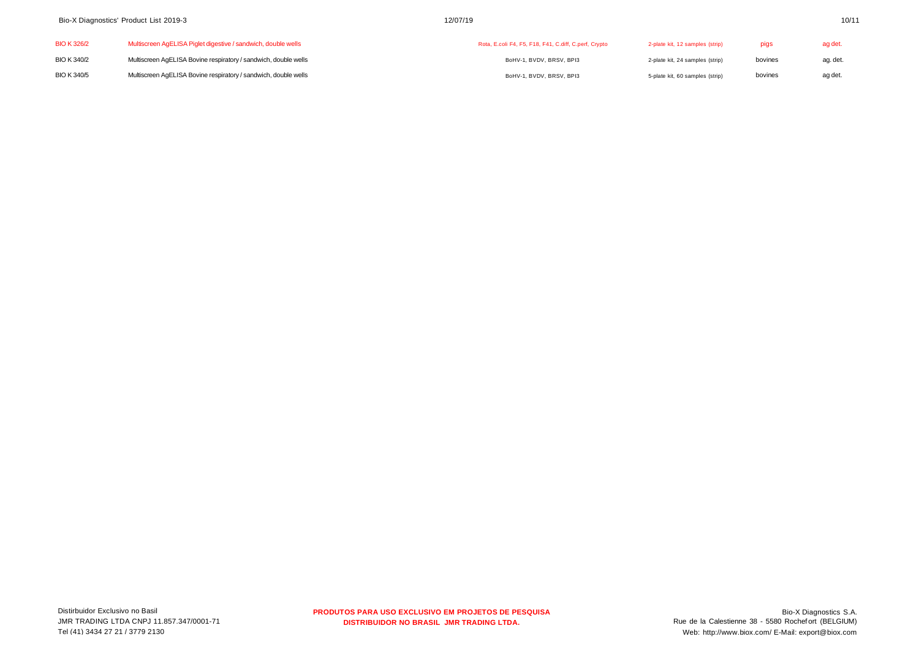| <b>BIO K 326/2</b> | Multiscreen AgELISA Piglet digestive / sandwich, double wells   | Rota, E.coli F4, F5, F18, F41, C.diff, C.perf, Crypto | 2-plate kit, 12 samples (strip) |         | ag det.  |
|--------------------|-----------------------------------------------------------------|-------------------------------------------------------|---------------------------------|---------|----------|
| <b>BIO K 340/2</b> | Multiscreen AgELISA Bovine respiratory / sandwich, double wells | BoHV-1, BVDV, BRSV, BPI3                              | 2-plate kit, 24 samples (strip) | bovines | ag. det. |
| <b>BIO K 340/5</b> | Multiscreen AgELISA Bovine respiratory / sandwich, double wells | BoHV-1, BVDV, BRSV, BPI3                              | 5-plate kit, 60 samples (strip) | bovines | ag det.  |